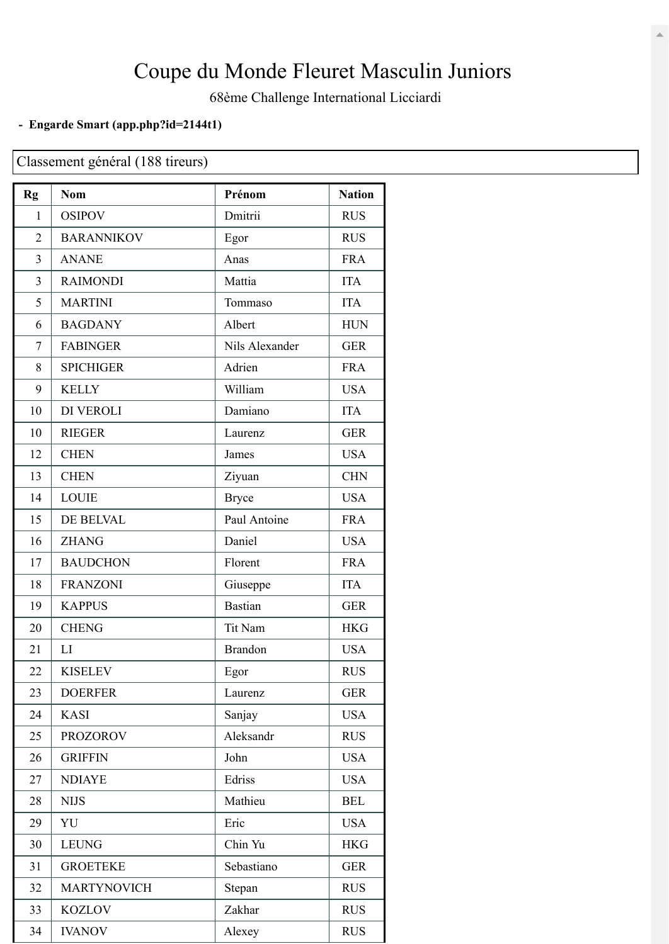## Coupe du Monde Fleuret Masculin Juniors

68ème Challenge International Licciardi

## **- Engarde Smart [\(app.php?id=2144t1\)](https://engarde-service.com/app.php?id=2144t1)**

Classement général (188 tireurs)

| <b>Rg</b> | <b>Nom</b>         | Prénom         | <b>Nation</b> |
|-----------|--------------------|----------------|---------------|
| 1         | <b>OSIPOV</b>      | Dmitrii        | <b>RUS</b>    |
| 2         | <b>BARANNIKOV</b>  | Egor           | <b>RUS</b>    |
| 3         | <b>ANANE</b>       | Anas           | <b>FRA</b>    |
| 3         | <b>RAIMONDI</b>    | Mattia         | <b>ITA</b>    |
| 5         | <b>MARTINI</b>     | Tommaso        | <b>ITA</b>    |
| 6         | <b>BAGDANY</b>     | Albert         | <b>HUN</b>    |
| 7         | <b>FABINGER</b>    | Nils Alexander | <b>GER</b>    |
| 8         | <b>SPICHIGER</b>   | Adrien         | <b>FRA</b>    |
| 9         | <b>KELLY</b>       | William        | <b>USA</b>    |
| 10        | DI VEROLI          | Damiano        | <b>ITA</b>    |
| 10        | <b>RIEGER</b>      | Laurenz        | <b>GER</b>    |
| 12        | <b>CHEN</b>        | James          | <b>USA</b>    |
| 13        | <b>CHEN</b>        | Ziyuan         | <b>CHN</b>    |
| 14        | <b>LOUIE</b>       | <b>Bryce</b>   | <b>USA</b>    |
| 15        | DE BELVAL          | Paul Antoine   | <b>FRA</b>    |
| 16        | <b>ZHANG</b>       | Daniel         | <b>USA</b>    |
| 17        | <b>BAUDCHON</b>    | Florent        | <b>FRA</b>    |
| 18        | <b>FRANZONI</b>    | Giuseppe       | <b>ITA</b>    |
| 19        | <b>KAPPUS</b>      | <b>Bastian</b> | <b>GER</b>    |
| 20        | <b>CHENG</b>       | Tit Nam        | <b>HKG</b>    |
| 21        | LI                 | <b>Brandon</b> | <b>USA</b>    |
| 22        | <b>KISELEV</b>     | Egor           | <b>RUS</b>    |
| 23        | <b>DOERFER</b>     | Laurenz        | <b>GER</b>    |
| 24        | <b>KASI</b>        | Sanjay         | <b>USA</b>    |
| 25        | <b>PROZOROV</b>    | Aleksandr      | <b>RUS</b>    |
| 26        | <b>GRIFFIN</b>     | John           | <b>USA</b>    |
| 27        | <b>NDIAYE</b>      | Edriss         | <b>USA</b>    |
| 28        | <b>NIJS</b>        | Mathieu        | <b>BEL</b>    |
| 29        | YU                 | Eric           | <b>USA</b>    |
| 30        | <b>LEUNG</b>       | Chin Yu        | <b>HKG</b>    |
| 31        | <b>GROETEKE</b>    | Sebastiano     | <b>GER</b>    |
| 32        | <b>MARTYNOVICH</b> | Stepan         | <b>RUS</b>    |
| 33        | <b>KOZLOV</b>      | Zakhar         | <b>RUS</b>    |
| 34        | <b>IVANOV</b>      | Alexey         | <b>RUS</b>    |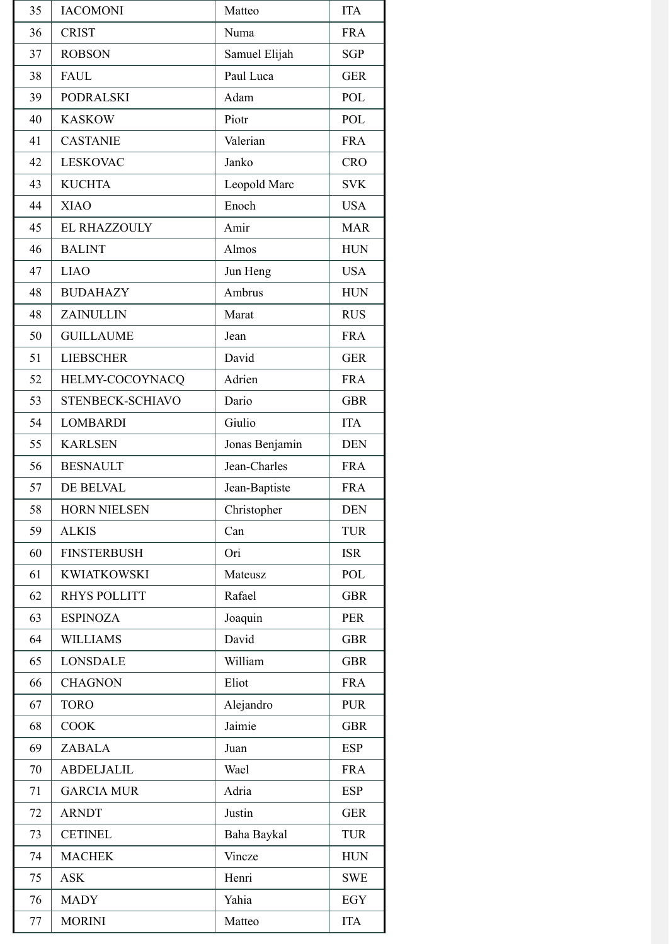| 35 | <b>IACOMONI</b>     | Matteo         | <b>ITA</b> |
|----|---------------------|----------------|------------|
| 36 | <b>CRIST</b>        | Numa           | <b>FRA</b> |
| 37 | <b>ROBSON</b>       | Samuel Elijah  | <b>SGP</b> |
| 38 | <b>FAUL</b>         | Paul Luca      | <b>GER</b> |
| 39 | <b>PODRALSKI</b>    | Adam           | POL        |
| 40 | <b>KASKOW</b>       | Piotr          | POL        |
| 41 | <b>CASTANIE</b>     | Valerian       | <b>FRA</b> |
| 42 | <b>LESKOVAC</b>     | Janko          | <b>CRO</b> |
| 43 | <b>KUCHTA</b>       | Leopold Marc   | <b>SVK</b> |
| 44 | <b>XIAO</b>         | Enoch          | <b>USA</b> |
| 45 | <b>EL RHAZZOULY</b> | Amir           | <b>MAR</b> |
| 46 | <b>BALINT</b>       | Almos          | <b>HUN</b> |
| 47 | <b>LIAO</b>         | Jun Heng       | <b>USA</b> |
| 48 | <b>BUDAHAZY</b>     | Ambrus         | <b>HUN</b> |
| 48 | <b>ZAINULLIN</b>    | Marat          | <b>RUS</b> |
| 50 | <b>GUILLAUME</b>    | Jean           | <b>FRA</b> |
| 51 | <b>LIEBSCHER</b>    | David          | <b>GER</b> |
| 52 | HELMY-COCOYNACQ     | Adrien         | <b>FRA</b> |
| 53 | STENBECK-SCHIAVO    | Dario          | <b>GBR</b> |
| 54 | <b>LOMBARDI</b>     | Giulio         | <b>ITA</b> |
| 55 | <b>KARLSEN</b>      | Jonas Benjamin | <b>DEN</b> |
| 56 | <b>BESNAULT</b>     | Jean-Charles   | <b>FRA</b> |
| 57 | DE BELVAL           | Jean-Baptiste  | <b>FRA</b> |
| 58 | <b>HORN NIELSEN</b> | Christopher    | <b>DEN</b> |
| 59 | <b>ALKIS</b>        | Can            | <b>TUR</b> |
| 60 | <b>FINSTERBUSH</b>  | Ori            | <b>ISR</b> |
| 61 | <b>KWIATKOWSKI</b>  | Mateusz        | POL        |
| 62 | <b>RHYS POLLITT</b> | Rafael         | <b>GBR</b> |
| 63 | <b>ESPINOZA</b>     | Joaquin        | <b>PER</b> |
| 64 | <b>WILLIAMS</b>     | David          | <b>GBR</b> |
| 65 | <b>LONSDALE</b>     | William        | <b>GBR</b> |
| 66 | <b>CHAGNON</b>      | Eliot          | <b>FRA</b> |
| 67 | <b>TORO</b>         | Alejandro      | <b>PUR</b> |
| 68 | <b>COOK</b>         | Jaimie         | <b>GBR</b> |
| 69 | <b>ZABALA</b>       | Juan           | <b>ESP</b> |
| 70 | <b>ABDELJALIL</b>   | Wael           | <b>FRA</b> |
| 71 | <b>GARCIA MUR</b>   | Adria          | <b>ESP</b> |
| 72 | <b>ARNDT</b>        | Justin         | <b>GER</b> |
| 73 | <b>CETINEL</b>      | Baha Baykal    | <b>TUR</b> |
| 74 | <b>MACHEK</b>       | Vincze         | <b>HUN</b> |
| 75 | <b>ASK</b>          | Henri          | <b>SWE</b> |
| 76 | <b>MADY</b>         | Yahia          | EGY        |
| 77 | <b>MORINI</b>       | Matteo         | <b>ITA</b> |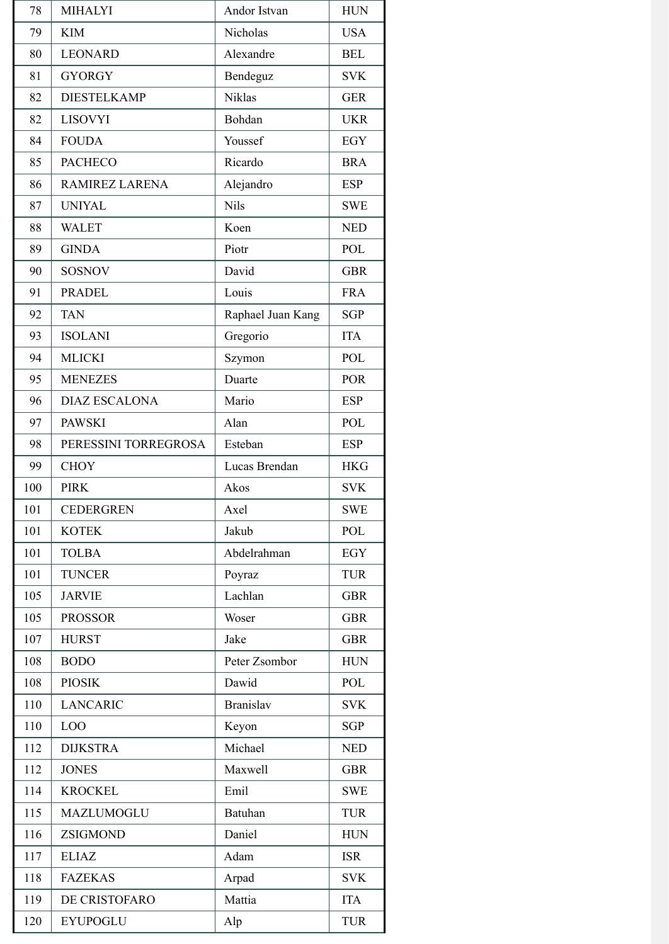| 78  | <b>MIHALYI</b>       | Andor Istvan      | <b>HUN</b> |
|-----|----------------------|-------------------|------------|
| 79  | <b>KIM</b>           | Nicholas          | <b>USA</b> |
| 80  | <b>LEONARD</b>       | Alexandre         | <b>BEL</b> |
| 81  | <b>GYORGY</b>        | Bendeguz          | <b>SVK</b> |
| 82  | <b>DIESTELKAMP</b>   | <b>Niklas</b>     | <b>GER</b> |
| 82  | <b>LISOVYI</b>       | Bohdan            | <b>UKR</b> |
| 84  | <b>FOUDA</b>         | Youssef           | <b>EGY</b> |
| 85  | <b>PACHECO</b>       | Ricardo           | <b>BRA</b> |
| 86  | RAMIREZ LARENA       | Alejandro         | <b>ESP</b> |
| 87  | <b>UNIYAL</b>        | <b>Nils</b>       | <b>SWE</b> |
| 88  | <b>WALET</b>         | Koen              | <b>NED</b> |
| 89  | <b>GINDA</b>         | Piotr             | POL        |
| 90  | <b>SOSNOV</b>        | David             | <b>GBR</b> |
| 91  | <b>PRADEL</b>        | Louis             | <b>FRA</b> |
| 92  | <b>TAN</b>           | Raphael Juan Kang | <b>SGP</b> |
| 93  | <b>ISOLANI</b>       | Gregorio          | <b>ITA</b> |
| 94  | <b>MLICKI</b>        | Szymon            | POL        |
| 95  | <b>MENEZES</b>       | Duarte            | <b>POR</b> |
| 96  | <b>DIAZ ESCALONA</b> | Mario             | <b>ESP</b> |
| 97  | <b>PAWSKI</b>        | Alan              | POL        |
| 98  | PERESSINI TORREGROSA | Esteban           | <b>ESP</b> |
| 99  | <b>CHOY</b>          | Lucas Brendan     | <b>HKG</b> |
| 100 | <b>PIRK</b>          | Akos              | <b>SVK</b> |
| 101 | <b>CEDERGREN</b>     | Axel              | <b>SWE</b> |
| 101 | <b>KOTEK</b>         | Jakub             | POL        |
| 101 | <b>TOLBA</b>         | Abdelrahman       | EGY        |
| 101 | <b>TUNCER</b>        | Poyraz            | <b>TUR</b> |
| 105 | <b>JARVIE</b>        | Lachlan           | <b>GBR</b> |
| 105 | <b>PROSSOR</b>       | Woser             | <b>GBR</b> |
| 107 | <b>HURST</b>         | Jake              | <b>GBR</b> |
| 108 | <b>BODO</b>          | Peter Zsombor     | <b>HUN</b> |
| 108 | <b>PIOSIK</b>        | Dawid             | POL        |
| 110 | <b>LANCARIC</b>      | <b>Branislav</b>  | <b>SVK</b> |
| 110 | LOO                  | Keyon             | <b>SGP</b> |
| 112 | <b>DIJKSTRA</b>      | Michael           | <b>NED</b> |
| 112 | <b>JONES</b>         | Maxwell           | <b>GBR</b> |
| 114 | <b>KROCKEL</b>       | Emil              | <b>SWE</b> |
| 115 | MAZLUMOGLU           | <b>Batuhan</b>    | <b>TUR</b> |
| 116 | ZSIGMOND             | Daniel            | <b>HUN</b> |
| 117 | <b>ELIAZ</b>         | Adam              | <b>ISR</b> |
| 118 | <b>FAZEKAS</b>       | Arpad             | <b>SVK</b> |
| 119 | DE CRISTOFARO        | Mattia            | <b>ITA</b> |
| 120 | <b>EYUPOGLU</b>      | Alp               | <b>TUR</b> |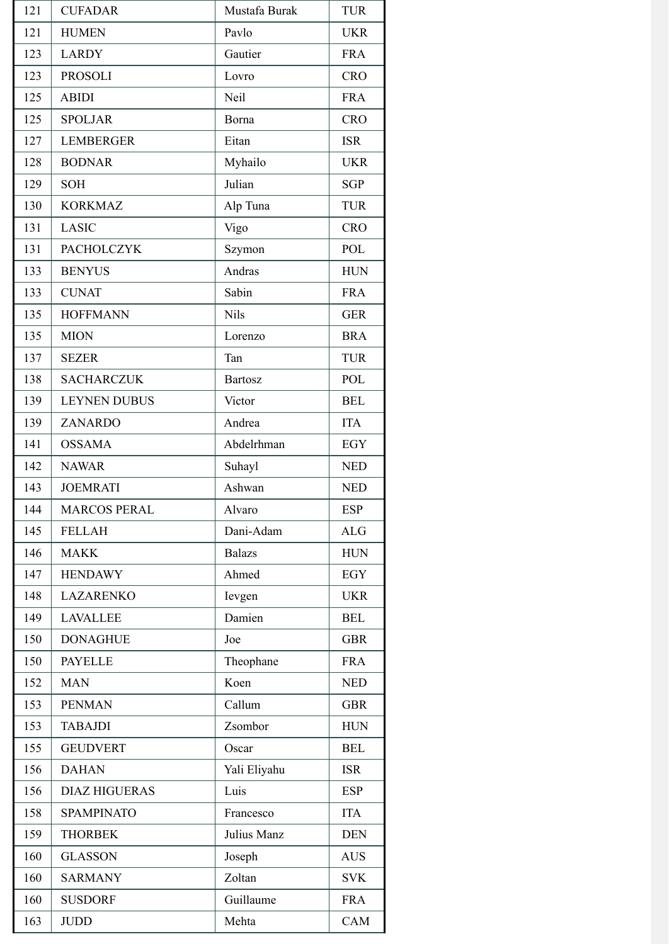| 121 | <b>CUFADAR</b>       | Mustafa Burak  | <b>TUR</b> |
|-----|----------------------|----------------|------------|
| 121 | <b>HUMEN</b>         | Pavlo          | <b>UKR</b> |
| 123 | <b>LARDY</b>         | Gautier        | <b>FRA</b> |
| 123 | <b>PROSOLI</b>       | Lovro          | <b>CRO</b> |
| 125 | <b>ABIDI</b>         | Neil           | <b>FRA</b> |
| 125 | <b>SPOLJAR</b>       | Borna          | <b>CRO</b> |
| 127 | <b>LEMBERGER</b>     | Eitan          | <b>ISR</b> |
| 128 | <b>BODNAR</b>        | Myhailo        | <b>UKR</b> |
| 129 | SOH                  | Julian         | <b>SGP</b> |
| 130 | <b>KORKMAZ</b>       | Alp Tuna       | <b>TUR</b> |
| 131 | <b>LASIC</b>         | Vigo           | <b>CRO</b> |
| 131 | <b>PACHOLCZYK</b>    | Szymon         | POL        |
| 133 | <b>BENYUS</b>        | Andras         | <b>HUN</b> |
| 133 | <b>CUNAT</b>         | Sabin          | <b>FRA</b> |
| 135 | <b>HOFFMANN</b>      | <b>Nils</b>    | <b>GER</b> |
| 135 | <b>MION</b>          | Lorenzo        | <b>BRA</b> |
| 137 | <b>SEZER</b>         | Tan            | <b>TUR</b> |
| 138 | <b>SACHARCZUK</b>    | <b>Bartosz</b> | POL        |
| 139 | <b>LEYNEN DUBUS</b>  | Victor         | <b>BEL</b> |
| 139 | ZANARDO              | Andrea         | <b>ITA</b> |
| 141 | <b>OSSAMA</b>        | Abdelrhman     | EGY        |
| 142 | <b>NAWAR</b>         | Suhayl         | <b>NED</b> |
| 143 | <b>JOEMRATI</b>      | Ashwan         | <b>NED</b> |
| 144 | <b>MARCOS PERAL</b>  | Alvaro         | <b>ESP</b> |
| 145 | <b>FELLAH</b>        | Dani-Adam      | <b>ALG</b> |
| 146 | <b>MAKK</b>          | <b>Balazs</b>  | <b>HUN</b> |
| 147 | <b>HENDAWY</b>       | Ahmed          | EGY        |
| 148 | <b>LAZARENKO</b>     | Ievgen         | <b>UKR</b> |
| 149 | <b>LAVALLEE</b>      | Damien         | <b>BEL</b> |
| 150 | <b>DONAGHUE</b>      | Joe            | <b>GBR</b> |
| 150 | <b>PAYELLE</b>       | Theophane      | <b>FRA</b> |
| 152 | <b>MAN</b>           | Koen           | <b>NED</b> |
| 153 | <b>PENMAN</b>        | Callum         | <b>GBR</b> |
| 153 | <b>TABAJDI</b>       | Zsombor        | <b>HUN</b> |
| 155 | <b>GEUDVERT</b>      | Oscar          | <b>BEL</b> |
| 156 | <b>DAHAN</b>         | Yali Eliyahu   | <b>ISR</b> |
| 156 | <b>DIAZ HIGUERAS</b> | Luis           | <b>ESP</b> |
| 158 | <b>SPAMPINATO</b>    | Francesco      | <b>ITA</b> |
| 159 | <b>THORBEK</b>       | Julius Manz    | <b>DEN</b> |
| 160 | <b>GLASSON</b>       | Joseph         | <b>AUS</b> |
| 160 | <b>SARMANY</b>       | Zoltan         | <b>SVK</b> |
| 160 | <b>SUSDORF</b>       | Guillaume      | <b>FRA</b> |
| 163 | <b>JUDD</b>          | Mehta          | CAM        |